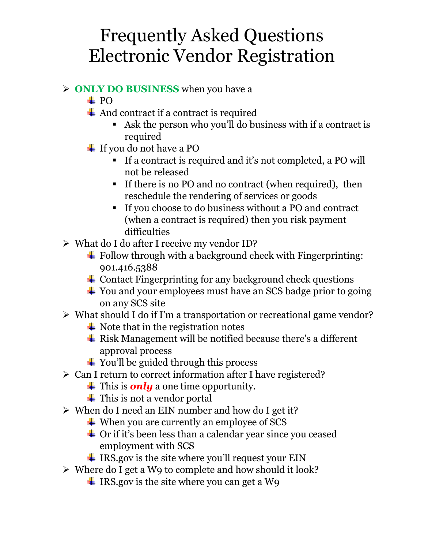#### **ONLY DO BUSINESS** when you have a

- $\pm$  PO
- $\overline{\phantom{a}}$  And contract if a contract is required
	- Ask the person who you'll do business with if a contract is required
- $\overline{\text{I}}$  If you do not have a PO
	- If a contract is required and it's not completed, a PO will not be released
	- If there is no PO and no contract (when required), then reschedule the rendering of services or goods
	- If you choose to do business without a PO and contract (when a contract is required) then you risk payment difficulties
- $\triangleright$  What do I do after I receive my vendor ID?
	- $\overline{\phantom{a}^+}$  Follow through with a background check with Fingerprinting: 901.416.5388
	- $\overline{\phantom{a}}$  Contact Fingerprinting for any background check questions
	- $\overline{\text{4}}$  You and your employees must have an SCS badge prior to going on any SCS site
- $\triangleright$  What should I do if I'm a transportation or recreational game vendor?
	- $\overline{\phantom{a}}$  Note that in the registration notes
	- $\overline{\text{F}}$  Risk Management will be notified because there's a different approval process
	- $\ddot{\bullet}$  You'll be guided through this process
- $\triangleright$  Can I return to correct information after I have registered?
	- $\frac{1}{\sqrt{1}}$  This is **only** a one time opportunity.
	- $\overline{\phantom{a}}$  This is not a vendor portal
- $\triangleright$  When do I need an EIN number and how do I get it?
	- When you are currently an employee of SCS
	- $\overline{\phantom{a}}$  Or if it's been less than a calendar year since you ceased employment with SCS
	- $\ddot{\text{I}}$  IRS.gov is the site where you'll request your EIN
- $\triangleright$  Where do I get a W9 to complete and how should it look?
	- $\ddot{\text{I}}$  IRS.gov is the site where you can get a W9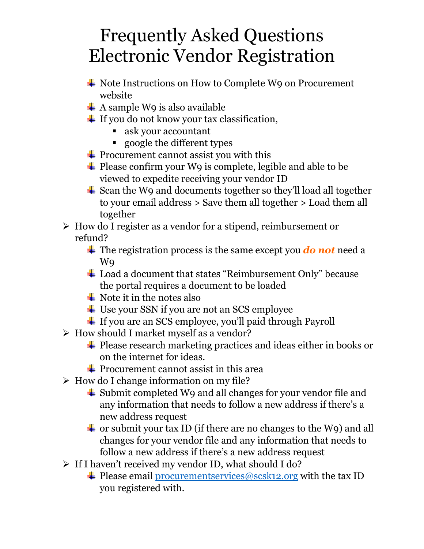- Note Instructions on How to Complete W9 on Procurement website
- $\overline{\phantom{a}}$  A sample W9 is also available
- $\overline{\text{I}}$  If you do not know your tax classification,
	- ask your accountant
	- google the different types
- $\overline{\text{P}}$  Procurement cannot assist you with this
- $\overline{\phantom{a}}$  Please confirm your W9 is complete, legible and able to be viewed to expedite receiving your vendor ID
- $\triangle$  Scan the W9 and documents together so they'll load all together to your email address > Save them all together > Load them all together
- $\triangleright$  How do I register as a vendor for a stipend, reimbursement or refund?
	- The registration process is the same except you *do not* need a W9
	- Load a document that states "Reimbursement Only" because the portal requires a document to be loaded
	- $\bigstar$  Note it in the notes also
	- **↓** Use your SSN if you are not an SCS employee
	- ↓ If you are an SCS employee, you'll paid through Payroll
- $\triangleright$  How should I market myself as a vendor?
	- $\overline{\phantom{a} \bullet}$  Please research marketing practices and ideas either in books or on the internet for ideas.
	- $\overline{\text{P}}$  Procurement cannot assist in this area
- $\triangleright$  How do I change information on my file?
	- $\overline{\phantom{a}}$  Submit completed W9 and all changes for your vendor file and any information that needs to follow a new address if there's a new address request
	- $\overline{\text{+}}$  or submit your tax ID (if there are no changes to the W9) and all changes for your vendor file and any information that needs to follow a new address if there's a new address request
- $\triangleright$  If I haven't received my vendor ID, what should I do?
	- $\triangleq$  Please email [procurementservices@scsk12.org](mailto:procurementservices@scsk12.org) with the tax ID you registered with.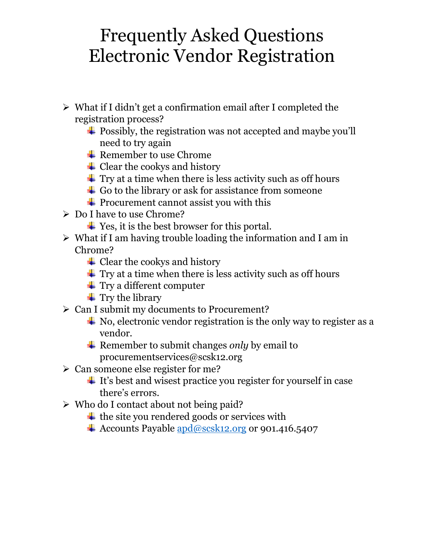- $\triangleright$  What if I didn't get a confirmation email after I completed the registration process?
	- $\overline{\text{1}}$  Possibly, the registration was not accepted and maybe you'll need to try again
	- $\overline{\phantom{a}}$  Remember to use Chrome
	- $\triangleq$  Clear the cookys and history
	- $\pm$  Try at a time when there is less activity such as off hours
	- $\div$  Go to the library or ask for assistance from someone
	- $\overline{\phantom{a}}$  Procurement cannot assist you with this
- Do I have to use Chrome?
	- $\overline{\text{4}}$  Yes, it is the best browser for this portal.
- $\triangleright$  What if I am having trouble loading the information and I am in Chrome?
	- $\triangleq$  Clear the cookys and history
	- $\pm$  Try at a time when there is less activity such as off hours
	- $\ddot{\bullet}$  Try a different computer
	- $\ddagger$  Try the library
- $\triangleright$  Can I submit my documents to Procurement?
	- $\overline{\text{4}}$  No, electronic vendor registration is the only way to register as a vendor.
	- **Example F** Remember to submit changes *only* by email to procurementservices@scsk12.org
- $\geq$  Can someone else register for me?
	- $\pm$  It's best and wisest practice you register for yourself in case there's errors.
- Who do I contact about not being paid?
	- $\overline{\text{+}}$  the site you rendered goods or services with
	- $\triangleq$  Accounts Payable  $\frac{\text{apd}\omega\text{scsk12.org}}{\text{arctan} \omega}$  or 901.416.5407